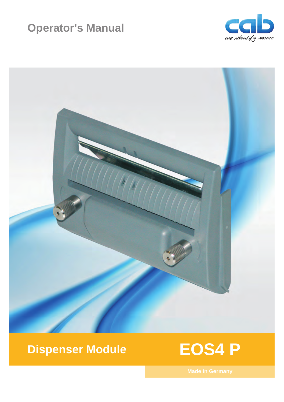# **Operator's Manual**





# **Dispenser Module**

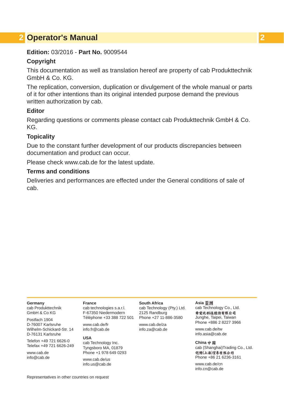### **2 Operator's Manual 2**

### **Edition:** 03/2016 - **Part No.** 9009544

### **Copyright**

This documentation as well as translation hereof are property of cab Produkttechnik GmbH & Co. KG.

The replication, conversion, duplication or divulgement of the whole manual or parts of it for other intentions than its original intended purpose demand the previous written authorization by cab.

### **Editor**

Regarding questions or comments please contact cab Produkttechnik GmbH & Co. KG.

### **Topicality**

Due to the constant further development of our products discrepancies between documentation and product can occur.

Please check www.cab.de for the latest update.

### **Terms and conditions**

Deliveries and performances are effected under the General conditions of sale of cab.

### **Germany**

cab Produkttechnik GmbH & Co KG

Postfach 1904 D-76007 Karlsruhe Wilhelm-Schickard-Str. 14 D-76131 Karlsruhe

Telefon +49 721 6626-0 Telefax +49 721 6626-249

www.cab.de info@cab.de

### **France**

cab technologies s.a.r.l. F-67350 Niedermodern Téléphone +33 388 722 501 Phone +27 11-886-3580

www.cab.de/fr info.fr@cab.de

### **USA**

cab Technology Inc. Tyngsboro MA, 01879 Phone +1 978 649 0293

www.cab.de/us info.us@cab.de **South Africa**

### cab Technology (Pty.) Ltd. 2125 Randburg

www.cab.de/za info.za@cab.de

### **Asia**  cab Technology Co., Ltd.

希爱比科技股份有限公司 Junghe, Taipei, Taiwan Phone +886 2 8227 3966

www.cab.de/tw info.asia@cab.de

### **China**  cab (Shanghai)Trading Co., Ltd.<br>包持(上海)贸易有限公司 Phone +86 21 6236-3161

www.cab.de/cn info.cn@cab.de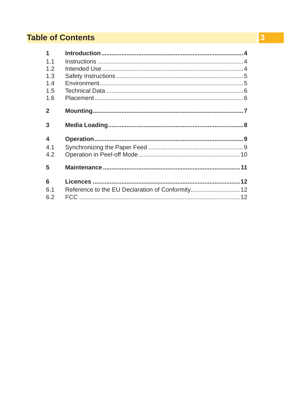## **Table of Contents**

| $\mathbf{1}$   |                                                  |  |
|----------------|--------------------------------------------------|--|
| 1 <sub>1</sub> |                                                  |  |
| 1.2            |                                                  |  |
| 1.3            |                                                  |  |
| 1.4            |                                                  |  |
| 1.5            |                                                  |  |
| 1.6            |                                                  |  |
| $\mathbf{2}$   |                                                  |  |
| 3              |                                                  |  |
| 4              |                                                  |  |
| 4.1            |                                                  |  |
| 4.2            |                                                  |  |
| 5              |                                                  |  |
| 6              |                                                  |  |
| 6.1            | Reference to the EU Declaration of Conformity 12 |  |
| 6.2            |                                                  |  |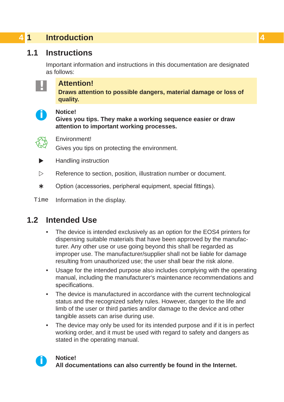## <span id="page-3-0"></span>**4 1 Introduction 4**

## **1.1 Instructions**

<span id="page-3-1"></span>Important information and instructions in this documentation are designated as follows:



### **! Attention!**

**Draws attention to possible dangers, material damage or loss of quality.** 



**i Notice! Gives you tips. They make a working sequence easier or draw attention to important working processes.**



Environment!

Gives you tips on protecting the environment.

- **Handling instruction**
- $\triangleright$  Reference to section, position, illustration number or document.
- \* Option (accessories, peripheral equipment, special fittings).

Time Information in the display.

### **1.2 Intended Use**

- The device is intended exclusively as an option for the EOS4 printers for dispensing suitable materials that have been approved by the manufacturer. Any other use or use going beyond this shall be regarded as improper use. The manufacturer/supplier shall not be liable for damage resulting from unauthorized use; the user shall bear the risk alone.
- Usage for the intended purpose also includes complying with the operating manual, including the manufacturer's maintenance recommendations and specifications.
- The device is manufactured in accordance with the current technological status and the recognized safety rules. However, danger to the life and limb of the user or third parties and/or damage to the device and other tangible assets can arise during use.
- The device may only be used for its intended purpose and if it is in perfect working order, and it must be used with regard to safety and dangers as stated in the operating manual.

**i Notice! All documentations can also currently be found in the Internet.**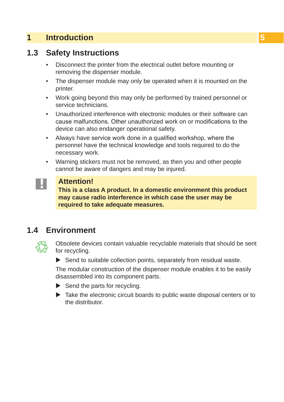## <span id="page-4-0"></span>**1 [Introduction](#page-3-1) 5**

## **1.3 Safety Instructions**

- Disconnect the printer from the electrical outlet before mounting or removing the dispenser module.
- The dispenser module may only be operated when it is mounted on the printer.
- Work going beyond this may only be performed by trained personnel or service technicians.
- Unauthorized interference with electronic modules or their software can cause malfunctions. Other unauthorized work on or modifications to the device can also endanger operational safety.
- Always have service work done in a qualified workshop, where the personnel have the technical knowledge and tools required to do the necessary work.
- Warning stickers must not be removed, as then you and other people cannot be aware of dangers and may be injured.



### **! Attention!**

**This is a class A product. In a domestic environment this product may cause radio interference in which case the user may be required to take adequate measures.**

## **1.4 Environment**



Obsolete devices contain valuable recyclable materials that should be sent for recycling.

 $\blacktriangleright$  Send to suitable collection points, separately from residual waste.

The modular construction of the dispenser module enables it to be easily disassembled into its component parts.

- $\blacktriangleright$  Send the parts for recycling.
- $\triangleright$  Take the electronic circuit boards to public waste disposal centers or to the distributor.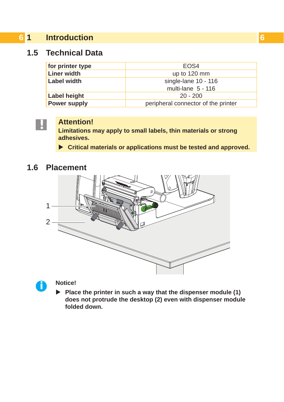## <span id="page-5-0"></span>**6 1 [Introduction](#page-3-1) 6**

## **1.5 Technical Data**

| for printer type    | FOS4                                |
|---------------------|-------------------------------------|
| <b>Liner width</b>  | up to 120 mm                        |
| Label width         | single-lane 10 - 116                |
|                     | multi-lane 5 - 116                  |
| Label height        | $20 - 200$                          |
| <b>Power supply</b> | peripheral connector of the printer |



**! Attention! Limitations may apply to small labels, thin materials or strong adhesives.**

▶ Critical materials or applications must be tested and approved.

### **1.6 Placement**





▶ Place the printer in such a way that the dispenser module (1) **does not protrude the desktop (2) even with dispenser module folded down.**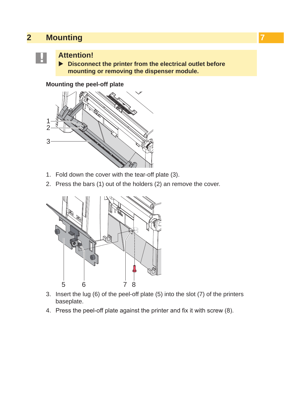## <span id="page-6-0"></span>**2 Mounting**



<span id="page-6-1"></span>**EXECUTE Attention!**<br>► Disconnect the printer from the electrical outlet before **mounting or removing the dispenser module.**

**Mounting the peel-off plate**



- 1. Fold down the cover with the tear-off plate (3).
- 2. Press the bars (1) out of the holders (2) an remove the cover.



- 3. Insert the lug (6) of the peel-off plate (5) into the slot (7) of the printers baseplate.
- 4. Press the peel-off plate against the printer and fix it with screw (8).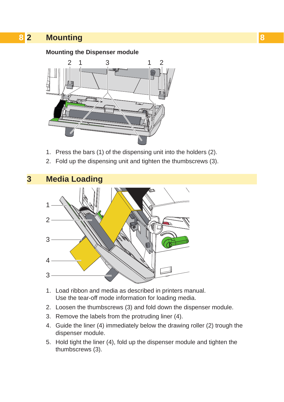## <span id="page-7-0"></span>**8 8 2 [Mounting](#page-6-1)**

### **Mounting the Dispenser module**



- 1. Press the bars (1) of the dispensing unit into the holders (2).
- 2. Fold up the dispensing unit and tighten the thumbscrews (3).



- 1. Load ribbon and media as described in printers manual. Use the tear-off mode information for loading media.
- 2. Loosen the thumbscrews (3) and fold down the dispenser module.
- 3. Remove the labels from the protruding liner (4).
- 4. Guide the liner (4) immediately below the drawing roller (2) trough the dispenser module.
- 5. Hold tight the liner (4), fold up the dispenser module and tighten the thumbscrews (3).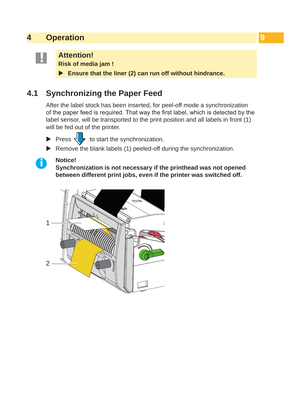## <span id="page-8-0"></span>**4 Operation 9**

<span id="page-8-1"></span>**! Attention! Risk of media jam !**

Ensure that the liner (2) can run off without hindrance.

## **4.1 Synchronizing the Paper Feed**

After the label stock has been inserted, for peel-off mode a synchronization of the paper feed is required. That way the first label, which is detected by the label sensor, will be transported to the print position and all labels in front (1) will be fed out of the printer.

- Press  $\sqrt{\ }$  to start the synchronization.
- $\blacktriangleright$  Remove the blank labels (1) peeled-off during the synchronization.

**i Notice! Synchronization is not necessary if the printhead was not opened between different print jobs, even if the printer was switched off.**

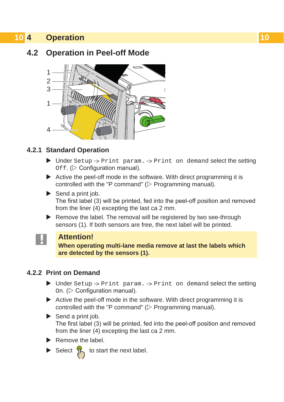## <span id="page-9-0"></span>**10 4 [Operation](#page-8-1) 10**

## **4.2 Operation in Peel-off Mode**



### **4.2.1 Standard Operation**

- $\triangleright$  Under Setup -> Print param. -> Print on demand select the setting  $Off.$  ( $\triangleright$  Configuration manual).
- $\triangleright$  Active the peel-off mode in the software. With direct programming it is controlled with the "P command" ( $\triangleright$  Programming manual).
- $\blacktriangleright$  Send a print job. The first label (3) will be printed, fed into the peel-off position and removed from the liner (4) excepting the last ca 2 mm.
- $\blacktriangleright$  Remove the label. The removal will be registered by two see-through sensors (1). If both sensors are free, the next label will be printed.



### **! Attention!**

**When operating multi-lane media remove at last the labels which are detected by the sensors (1).**

### **4.2.2 Print on Demand**

- $\blacktriangleright$  Under Setup -> Print param. -> Print on demand select the setting  $On.$  ( $\triangleright$  Configuration manual).
- $\triangleright$  Active the peel-off mode in the software. With direct programming it is controlled with the "P command" ( $\triangleright$  Programming manual).
- $\blacktriangleright$  Send a print job. The first label (3) will be printed, fed into the peel-off position and removed from the liner (4) excepting the last ca 2 mm.
- $\blacktriangleright$  Remove the label.
- Select  $\int_{\mathbb{R}}$  to start the next label.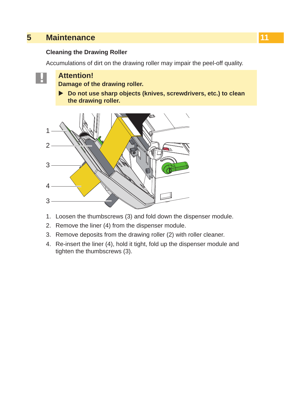## <span id="page-10-0"></span>**5 Maintenance**

### **Cleaning the Drawing Roller**

Accumulations of dirt on the drawing roller may impair the peel-off quality.

**! Attention! Damage of the drawing roller.**

▶ Do not use sharp objects (knives, screwdrivers, etc.) to clean **the drawing roller.**



- 1. Loosen the thumbscrews (3) and fold down the dispenser module.
- 2. Remove the liner (4) from the dispenser module.
- 3. Remove deposits from the drawing roller (2) with roller cleaner.
- 4. Re-insert the liner (4), hold it tight, fold up the dispenser module and tighten the thumbscrews (3).